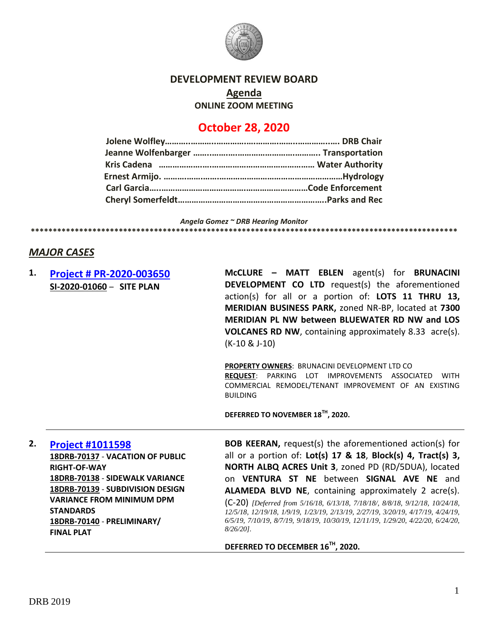

#### **DEVELOPMENT REVIEW BOARD**

**Agenda**

**ONLINE ZOOM MEETING**

# **October 28, 2020**

*Angela Gomez ~ DRB Hearing Monitor* **\*\*\*\*\*\*\*\*\*\*\*\*\*\*\*\*\*\*\*\*\*\*\*\*\*\*\*\*\*\*\*\*\*\*\*\*\*\*\*\*\*\*\*\*\*\*\*\*\*\*\*\*\*\*\*\*\*\*\*\*\*\*\*\*\*\*\*\*\*\*\*\*\*\*\*\*\*\*\*\*\*\*\*\*\*\*\*\*\*\*\*\*\*\*\*\*\***

# *MAJOR CASES*

## **1. [Project # PR-2020-003650](http://data.cabq.gov/government/planning/DRB/PR-2020-003650/DRB%20Submittals/PR-2020-003650_Oct_28_2020/Application/DRB%20Submittal--2020-09-29.pdf) SI-2020-01060** – **SITE PLAN**

**McCLURE – MATT EBLEN** agent(s) for **BRUNACINI DEVELOPMENT CO LTD** request(s) the aforementioned action(s) for all or a portion of: **LOTS 11 THRU 13, MERIDIAN BUSINESS PARK,** zoned NR-BP, located at **7300 MERIDIAN PL NW between BLUEWATER RD NW and LOS VOLCANES RD NW**, containing approximately 8.33 acre(s). (K-10 & J-10)

**PROPERTY OWNERS**: BRUNACINI DEVELOPMENT LTD CO **REQUEST**: PARKING LOT IMPROVEMENTS ASSOCIATED WITH COMMERCIAL REMODEL/TENANT IMPROVEMENT OF AN EXISTING BUILDING

**DEFERRED TO NOVEMBER 18TH, 2020.**

**2. [Project #1011598](http://data.cabq.gov/government/planning/DRB/1011598/1011598_DRB%20Submittals/) 18DRB-70137** - **VACATION OF PUBLIC RIGHT-OF-WAY 18DRB-70138** - **SIDEWALK VARIANCE 18DRB-70139** - **SUBDIVISION DESIGN VARIANCE FROM MINIMUM DPM STANDARDS 18DRB-70140** - **PRELIMINARY/ FINAL PLAT**

**BOB KEERAN,** request(s) the aforementioned action(s) for all or a portion of: **Lot(s) 17 & 18**, **Block(s) 4, Tract(s) 3, NORTH ALBQ ACRES Unit 3**, zoned PD (RD/5DUA), located on **VENTURA ST NE** between **SIGNAL AVE NE** and **ALAMEDA BLVD NE**, containing approximately 2 acre(s). (C-20) *[Deferred from 5/16/18, 6/13/18, 7/18/18/, 8/8/18, 9/12/18, 10/24/18, 12/5/18, 12/19/18, 1/9/19, 1/23/19, 2/13/19, 2/27/19, 3/20/19, 4/17/19, 4/24/19, 6/5/19, 7/10/19, 8/7/19, 9/18/19, 10/30/19, 12/11/19, 1/29/20, 4/22/20, 6/24/20, 8/26/20].*

**DEFERRED TO DECEMBER 16TH, 2020.**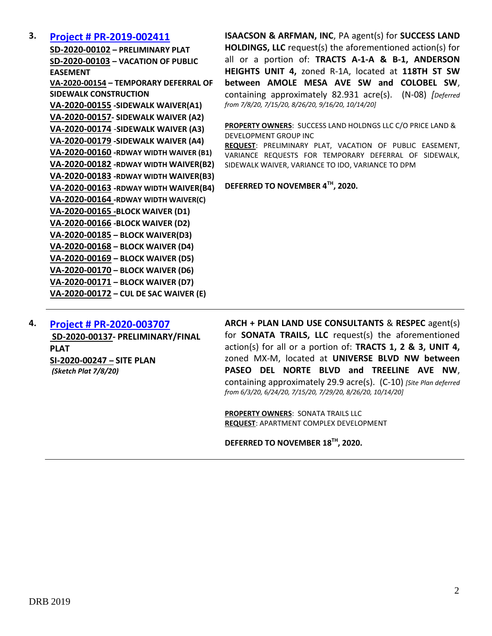### **3. [Project # PR-2019-002411](http://data.cabq.gov/government/planning/DRB/PR-2019-002411/DRB%20Submittals/PR-2019-002411_Sept_16_2020_Supplemental/Application/)**

**SD-2020-00102 – PRELIMINARY PLAT SD-2020-00103 – VACATION OF PUBLIC EASEMENT VA-2020-00154 – TEMPORARY DEFERRAL OF SIDEWALK CONSTRUCTION VA-2020-00155 -SIDEWALK WAIVER(A1) VA-2020-00157- SIDEWALK WAIVER (A2) VA-2020-00174** -**SIDEWALK WAIVER (A3) VA-2020-00179 -SIDEWALK WAIVER (A4) VA-2020-00160 -RDWAY WIDTH WAIVER (B1) VA-2020-00182 -RDWAY WIDTH WAIVER(B2) VA-2020-00183 -RDWAY WIDTH WAIVER(B3) VA-2020-00163 -RDWAY WIDTH WAIVER(B4) VA-2020-00164 -RDWAY WIDTH WAIVER(C) VA-2020-00165 -BLOCK WAIVER (D1) VA-2020-00166 -BLOCK WAIVER (D2) VA-2020-00185 – BLOCK WAIVER(D3) VA-2020-00168 – BLOCK WAIVER (D4) VA-2020-00169 – BLOCK WAIVER (D5) VA-2020-00170 – BLOCK WAIVER (D6) VA-2020-00171 – BLOCK WAIVER (D7) VA-2020-00172 – CUL DE SAC WAIVER (E)**

**ISAACSON & ARFMAN, INC**, PA agent(s) for **SUCCESS LAND HOLDINGS, LLC** request(s) the aforementioned action(s) for all or a portion of: **TRACTS A-1-A & B-1, ANDERSON HEIGHTS UNIT 4,** zoned R-1A, located at **118TH ST SW between AMOLE MESA AVE SW and COLOBEL SW**, containing approximately 82.931 acre(s). (N-08) *[Deferred from 7/8/20, 7/15/20, 8/26/20, 9/16/20, 10/14/20]*

**PROPERTY OWNERS**: SUCCESS LAND HOLDNGS LLC C/O PRICE LAND & DEVELOPMENT GROUP INC

**REQUEST**: PRELIMINARY PLAT, VACATION OF PUBLIC EASEMENT, VARIANCE REQUESTS FOR TEMPORARY DEFERRAL OF SIDEWALK, SIDEWALK WAIVER, VARIANCE TO IDO, VARIANCE TO DPM

**DEFERRED TO NOVEMBER 4TH, 2020.**

**4. [Project # PR-2020-003707](http://data.cabq.gov/government/planning/DRB/PR-2020-003707/DRB%20Submittals/PR-2020-003707_Jul_29_2020_Supp/Application/) SD-2020-00137- PRELIMINARY/FINAL PLAT SI-2020-00247 – SITE PLAN** *(Sketch Plat 7/8/20)* 

**ARCH + PLAN LAND USE CONSULTANTS** & **RESPEC** agent(s) for **SONATA TRAILS, LLC** request(s) the aforementioned action(s) for all or a portion of: **TRACTS 1, 2 & 3, UNIT 4,**  zoned MX-M, located at **UNIVERSE BLVD NW between PASEO DEL NORTE BLVD and TREELINE AVE NW**, containing approximately 29.9 acre(s). (C-10) *[Site Plan deferred from 6/3/20, 6/24/20, 7/15/20, 7/29/20, 8/26/20, 10/14/20]*

**PROPERTY OWNERS**: SONATA TRAILS LLC **REQUEST**: APARTMENT COMPLEX DEVELOPMENT

**DEFERRED TO NOVEMBER 18TH, 2020.**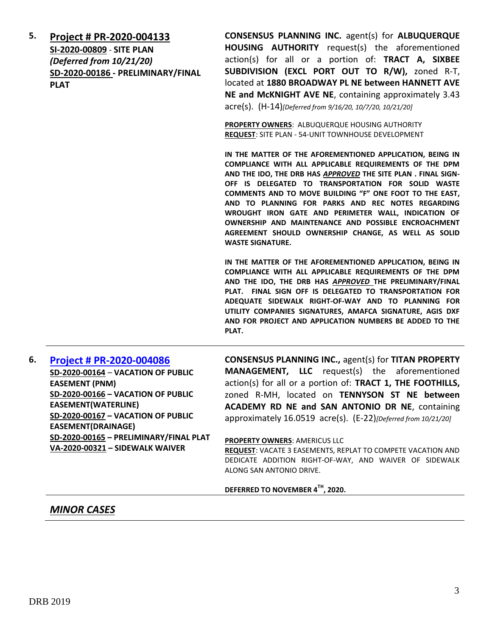**5. [Project # PR-2020-004133](http://data.cabq.gov/government/planning/DRB/PR-2020-004133/DRB%20Submittals/PR-2020-004133_Oct_28_2020/Application/PR-2020-004133%20Minor%20Plat%20Application.pdf) SI-2020-00809** - **SITE PLAN** *(Deferred from 10/21/20)* **SD-2020-00186 - PRELIMINARY/FINAL PLAT**

**CONSENSUS PLANNING INC.** agent(s) for **ALBUQUERQUE HOUSING AUTHORITY** request(s) the aforementioned action(s) for all or a portion of: **TRACT A, SIXBEE SUBDIVISION (EXCL PORT OUT TO R/W),** zoned R-T, located at **1880 BROADWAY PL NE between HANNETT AVE NE and McKNIGHT AVE NE**, containing approximately 3.43 acre(s). (H-14)*[Deferred from 9/16/20, 10/7/20, 10/21/20]*

**PROPERTY OWNERS**: ALBUQUERQUE HOUSING AUTHORITY **REQUEST**: SITE PLAN - 54-UNIT TOWNHOUSE DEVELOPMENT

**IN THE MATTER OF THE AFOREMENTIONED APPLICATION, BEING IN COMPLIANCE WITH ALL APPLICABLE REQUIREMENTS OF THE DPM AND THE IDO, THE DRB HAS** *APPROVED* **THE SITE PLAN . FINAL SIGN-OFF IS DELEGATED TO TRANSPORTATION FOR SOLID WASTE COMMENTS AND TO MOVE BUILDING "F" ONE FOOT TO THE EAST, AND TO PLANNING FOR PARKS AND REC NOTES REGARDING WROUGHT IRON GATE AND PERIMETER WALL, INDICATION OF OWNERSHIP AND MAINTENANCE AND POSSIBLE ENCROACHMENT AGREEMENT SHOULD OWNERSHIP CHANGE, AS WELL AS SOLID WASTE SIGNATURE.**

**IN THE MATTER OF THE AFOREMENTIONED APPLICATION, BEING IN COMPLIANCE WITH ALL APPLICABLE REQUIREMENTS OF THE DPM AND THE IDO, THE DRB HAS** *APPROVED* **THE PRELIMINARY/FINAL PLAT. FINAL SIGN OFF IS DELEGATED TO TRANSPORTATION FOR ADEQUATE SIDEWALK RIGHT-OF-WAY AND TO PLANNING FOR UTILITY COMPANIES SIGNATURES, AMAFCA SIGNATURE, AGIS DXF AND FOR PROJECT AND APPLICATION NUMBERS BE ADDED TO THE PLAT.**

## **6. [Project # PR-2020-004086](http://data.cabq.gov/government/planning/DRB/PR-2020-004086/DRB%20Submittals/PR-2020-004086_Oct_21_2020/Application/) SD-2020-00164** – **VACATION OF PUBLIC EASEMENT (PNM) SD-2020-00166 – VACATION OF PUBLIC EASEMENT(WATERLINE) SD-2020-00167 – VACATION OF PUBLIC EASEMENT(DRAINAGE) SD-2020-00165 – PRELIMINARY/FINAL PLAT VA-2020-00321 – SIDEWALK WAIVER**

**CONSENSUS PLANNING INC.,** agent(s) for **TITAN PROPERTY MANAGEMENT, LLC** request(s) the aforementioned action(s) for all or a portion of: **TRACT 1, THE FOOTHILLS,** zoned R-MH, located on **TENNYSON ST NE between ACADEMY RD NE and SAN ANTONIO DR NE**, containing approximately 16.0519 acre(s). (E-22)*[Deferred from 10/21/20]*

#### **PROPERTY OWNERS**: AMERICUS LLC

**REQUEST**: VACATE 3 EASEMENTS, REPLAT TO COMPETE VACATION AND DEDICATE ADDITION RIGHT-OF-WAY, AND WAIVER OF SIDEWALK ALONG SAN ANTONIO DRIVE.

#### **DEFERRED TO NOVEMBER 4TH, 2020.**

## *MINOR CASES*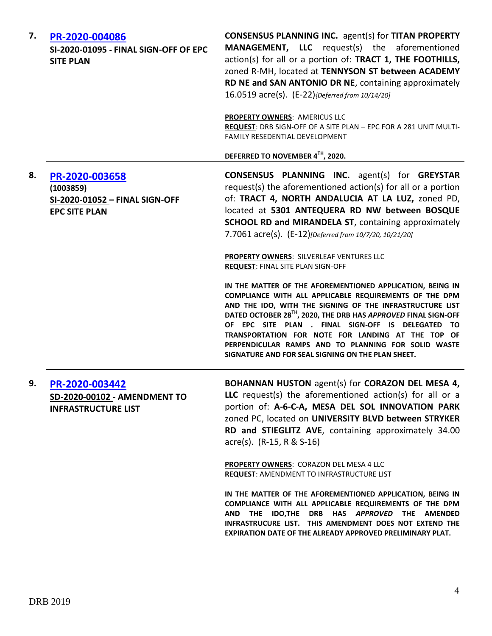| 7. | PR-2020-004086<br>SI-2020-01095 - FINAL SIGN-OFF OF EPC<br><b>SITE PLAN</b>           | <b>CONSENSUS PLANNING INC.</b> agent(s) for TITAN PROPERTY<br><b>MANAGEMENT, LLC</b> request(s) the aforementioned<br>action(s) for all or a portion of: TRACT 1, THE FOOTHILLS,<br>zoned R-MH, located at TENNYSON ST between ACADEMY<br>RD NE and SAN ANTONIO DR NE, containing approximately<br>16.0519 acre(s). (E-22) {Deferred from 10/14/20]                                                                                                                                        |
|----|---------------------------------------------------------------------------------------|--------------------------------------------------------------------------------------------------------------------------------------------------------------------------------------------------------------------------------------------------------------------------------------------------------------------------------------------------------------------------------------------------------------------------------------------------------------------------------------------|
|    |                                                                                       | PROPERTY OWNERS: AMERICUS LLC<br>REQUEST: DRB SIGN-OFF OF A SITE PLAN - EPC FOR A 281 UNIT MULTI-<br>FAMILY RESEDENTIAL DEVELOPMENT                                                                                                                                                                                                                                                                                                                                                        |
|    |                                                                                       | DEFERRED TO NOVEMBER 4TH, 2020.                                                                                                                                                                                                                                                                                                                                                                                                                                                            |
| 8. | PR-2020-003658<br>(1003859)<br>SI-2020-01052 - FINAL SIGN-OFF<br><b>EPC SITE PLAN</b> | <b>CONSENSUS PLANNING INC.</b> agent(s) for <b>GREYSTAR</b><br>request(s) the aforementioned action(s) for all or a portion<br>of: TRACT 4, NORTH ANDALUCIA AT LA LUZ, zoned PD,<br>located at 5301 ANTEQUERA RD NW between BOSQUE<br>SCHOOL RD and MIRANDELA ST, containing approximately<br>7.7061 acre(s). (E-12)[Deferred from 10/7/20, 10/21/20]                                                                                                                                      |
|    |                                                                                       | <b>PROPERTY OWNERS: SILVERLEAF VENTURES LLC</b><br><b>REQUEST: FINAL SITE PLAN SIGN-OFF</b>                                                                                                                                                                                                                                                                                                                                                                                                |
|    |                                                                                       | IN THE MATTER OF THE AFOREMENTIONED APPLICATION, BEING IN<br>COMPLIANCE WITH ALL APPLICABLE REQUIREMENTS OF THE DPM<br>AND THE IDO, WITH THE SIGNING OF THE INFRASTRUCTURE LIST<br>DATED OCTOBER 28 <sup>TH</sup> , 2020, THE DRB HAS <b>APPROVED</b> FINAL SIGN-OFF<br>OF EPC SITE PLAN . FINAL SIGN-OFF IS DELEGATED TO<br>TRANSPORTATION FOR NOTE FOR LANDING AT THE TOP OF<br>PERPENDICULAR RAMPS AND TO PLANNING FOR SOLID WASTE<br>SIGNATURE AND FOR SEAL SIGNING ON THE PLAN SHEET. |
| 9. | PR-2020-003442<br>SD-2020-00102 - AMENDMENT TO<br><b>INFRASTRUCTURE LIST</b>          | BOHANNAN HUSTON agent(s) for CORAZON DEL MESA 4,<br>LLC request(s) the aforementioned action(s) for all or a<br>portion of: A-6-C-A, MESA DEL SOL INNOVATION PARK<br>zoned PC, located on UNIVERSITY BLVD between STRYKER<br>RD and STIEGLITZ AVE, containing approximately 34.00<br>$\text{acre}(s)$ . (R-15, R & S-16)                                                                                                                                                                   |
|    |                                                                                       | PROPERTY OWNERS: CORAZON DEL MESA 4 LLC<br><b>REQUEST: AMENDMENT TO INFRASTRUCTURE LIST</b>                                                                                                                                                                                                                                                                                                                                                                                                |
|    |                                                                                       | IN THE MATTER OF THE AFOREMENTIONED APPLICATION, BEING IN<br>COMPLIANCE WITH ALL APPLICABLE REQUIREMENTS OF THE DPM<br>AND THE IDO, THE DRB HAS APPROVED THE AMENDED<br>INFRASTRUCURE LIST. THIS AMENDMENT DOES NOT EXTEND THE<br>EXPIRATION DATE OF THE ALREADY APPROVED PRELIMINARY PLAT.                                                                                                                                                                                                |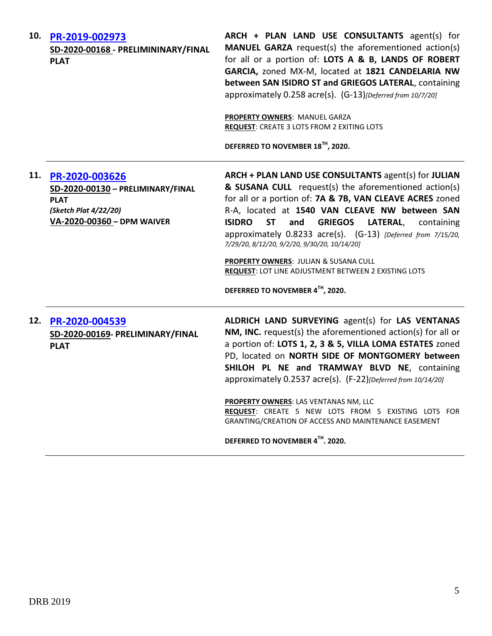| 10. | PR-2019-002973<br>SD-2020-00168 - PRELIMININARY/FINAL<br><b>PLAT</b>                                                      | ARCH + PLAN LAND USE CONSULTANTS agent(s) for<br>MANUEL GARZA request(s) the aforementioned action(s)<br>for all or a portion of: LOTS A & B, LANDS OF ROBERT<br>GARCIA, zoned MX-M, located at 1821 CANDELARIA NW<br>between SAN ISIDRO ST and GRIEGOS LATERAL, containing<br>approximately 0.258 acre(s). (G-13)[Deferred from 10/7/20]<br>PROPERTY OWNERS: MANUEL GARZA<br><b>REQUEST: CREATE 3 LOTS FROM 2 EXITING LOTS</b><br>DEFERRED TO NOVEMBER 18™, 2020.                                                                                                                 |
|-----|---------------------------------------------------------------------------------------------------------------------------|------------------------------------------------------------------------------------------------------------------------------------------------------------------------------------------------------------------------------------------------------------------------------------------------------------------------------------------------------------------------------------------------------------------------------------------------------------------------------------------------------------------------------------------------------------------------------------|
| 11. | PR-2020-003626<br>SD-2020-00130 - PRELIMINARY/FINAL<br><b>PLAT</b><br>(Sketch Plat 4/22/20)<br>VA-2020-00360 - DPM WAIVER | ARCH + PLAN LAND USE CONSULTANTS agent(s) for JULIAN<br>& SUSANA CULL request(s) the aforementioned action(s)<br>for all or a portion of: 7A & 7B, VAN CLEAVE ACRES zoned<br>R-A, located at 1540 VAN CLEAVE NW between SAN<br><b>ISIDRO</b><br><b>ST</b><br><b>GRIEGOS</b><br>and<br>LATERAL,<br>containing<br>approximately 0.8233 acre(s). (G-13) [Deferred from 7/15/20,<br>7/29/20, 8/12/20, 9/2/20, 9/30/20, 10/14/20]<br><b>PROPERTY OWNERS: JULIAN &amp; SUSANA CULL</b><br><b>REQUEST: LOT LINE ADJUSTMENT BETWEEN 2 EXISTING LOTS</b><br>DEFERRED TO NOVEMBER 4TH, 2020. |
| 12. | PR-2020-004539<br>SD-2020-00169- PRELIMINARY/FINAL<br><b>PLAT</b>                                                         | ALDRICH LAND SURVEYING agent(s) for LAS VENTANAS<br>NM, INC. request(s) the aforementioned action(s) for all or<br>a portion of: LOTS 1, 2, 3 & 5, VILLA LOMA ESTATES zoned<br>PD, located on NORTH SIDE OF MONTGOMERY between<br>SHILOH PL NE and TRAMWAY BLVD NE, containing<br>approximately 0.2537 acre(s). (F-22)[Deferred from 10/14/20]<br>PROPERTY OWNERS: LAS VENTANAS NM, LLC<br>REQUEST: CREATE 5 NEW LOTS FROM 5 EXISTING LOTS FOR<br>GRANTING/CREATION OF ACCESS AND MAINTENANCE EASEMENT<br>DEFERRED TO NOVEMBER 4TH. 2020.                                          |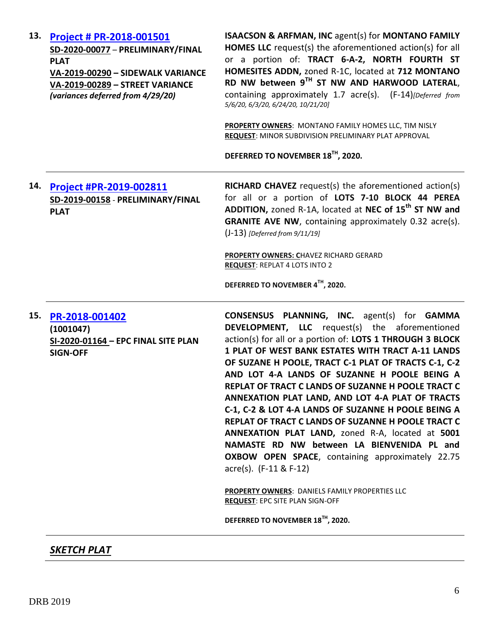| 13. | Project # PR-2018-001501<br>SD-2020-00077 - PRELIMINARY/FINAL<br><b>PLAT</b><br>VA-2019-00290 - SIDEWALK VARIANCE<br>VA-2019-00289 - STREET VARIANCE<br>(variances deferred from 4/29/20) | <b>ISAACSON &amp; ARFMAN, INC agent(s) for MONTANO FAMILY</b><br><b>HOMES LLC</b> request(s) the aforementioned action(s) for all<br>or a portion of: TRACT 6-A-2, NORTH FOURTH ST<br>HOMESITES ADDN, zoned R-1C, located at 712 MONTANO<br>RD NW between 9TH ST NW AND HARWOOD LATERAL,<br>containing approximately 1.7 acre(s). (F-14)[Deferred from<br>5/6/20, 6/3/20, 6/24/20, 10/21/20]<br>PROPERTY OWNERS: MONTANO FAMILY HOMES LLC, TIM NISLY<br>REQUEST: MINOR SUBDIVISION PRELIMINARY PLAT APPROVAL<br>DEFERRED TO NOVEMBER 18TH, 2020.                                                                                                                                                                                                                                                                                                                                                 |
|-----|-------------------------------------------------------------------------------------------------------------------------------------------------------------------------------------------|--------------------------------------------------------------------------------------------------------------------------------------------------------------------------------------------------------------------------------------------------------------------------------------------------------------------------------------------------------------------------------------------------------------------------------------------------------------------------------------------------------------------------------------------------------------------------------------------------------------------------------------------------------------------------------------------------------------------------------------------------------------------------------------------------------------------------------------------------------------------------------------------------|
| 14. | Project #PR-2019-002811<br>SD-2019-00158 - PRELIMINARY/FINAL<br><b>PLAT</b>                                                                                                               | <b>RICHARD CHAVEZ</b> request(s) the aforementioned action(s)<br>for all or a portion of LOTS 7-10 BLOCK 44 PEREA<br>ADDITION, zoned R-1A, located at NEC of 15 <sup>th</sup> ST NW and<br><b>GRANITE AVE NW, containing approximately 0.32 acre(s).</b><br>$(J-13)$ [Deferred from $9/11/19$ ]<br>PROPERTY OWNERS: CHAVEZ RICHARD GERARD<br><b>REQUEST: REPLAT 4 LOTS INTO 2</b><br>DEFERRED TO NOVEMBER 4TH, 2020.                                                                                                                                                                                                                                                                                                                                                                                                                                                                             |
| 15. | PR-2018-001402<br>(1001047)<br>SI-2020-01164 - EPC FINAL SITE PLAN<br><b>SIGN-OFF</b>                                                                                                     | <b>CONSENSUS PLANNING, INC.</b> agent(s) for <b>GAMMA</b><br>DEVELOPMENT, LLC request(s) the aforementioned<br>action(s) for all or a portion of: LOTS 1 THROUGH 3 BLOCK<br>1 PLAT OF WEST BANK ESTATES WITH TRACT A-11 LANDS<br>OF SUZANE H POOLE, TRACT C-1 PLAT OF TRACTS C-1, C-2<br>AND LOT 4-A LANDS OF SUZANNE H POOLE BEING A<br>REPLAT OF TRACT C LANDS OF SUZANNE H POOLE TRACT C<br>ANNEXATION PLAT LAND, AND LOT 4-A PLAT OF TRACTS<br>C-1, C-2 & LOT 4-A LANDS OF SUZANNE H POOLE BEING A<br>REPLAT OF TRACT C LANDS OF SUZANNE H POOLE TRACT C<br>ANNEXATION PLAT LAND, zoned R-A, located at 5001<br>NAMASTE RD NW between LA BIENVENIDA PL and<br><b>OXBOW OPEN SPACE, containing approximately 22.75</b><br>$\arccos(5)$ . (F-11 & F-12)<br><b>PROPERTY OWNERS: DANIELS FAMILY PROPERTIES LLC</b><br><b>REQUEST: EPC SITE PLAN SIGN-OFF</b><br>DEFERRED TO NOVEMBER 18TH, 2020. |

*SKETCH PLAT*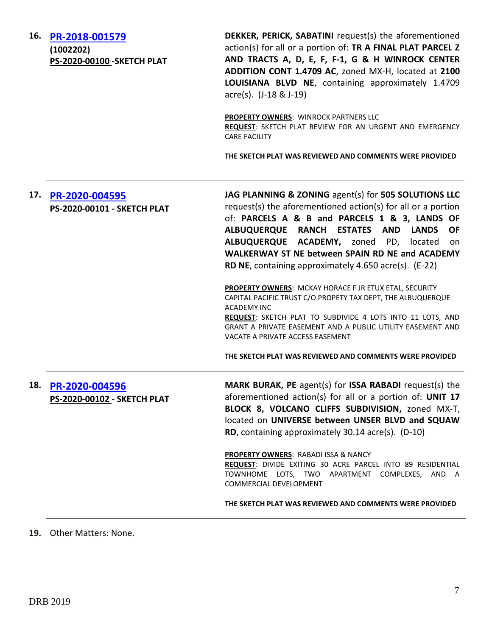**16. [PR-2018-001579](http://data.cabq.gov/government/planning/DRB/PR-2018-001579/DRB%20Submittals/PR-2018-001579_Oct_28_2020/Application/Application_SketchPlat_Final_10.20.pdf)**

**(1002202) PS-2020-00100 -SKETCH PLAT**

**DEKKER, PERICK, SABATINI** request(s) the aforementioned action(s) for all or a portion of: **TR A FINAL PLAT PARCEL Z AND TRACTS A, D, E, F, F-1, G & H WINROCK CENTER ADDITION CONT 1.4709 AC**, zoned MX-H, located at **2100 LOUISIANA BLVD NE**, containing approximately 1.4709 acre(s). (J-18 & J-19)

**PROPERTY OWNERS: WINROCK PARTNERS LLC REQUEST**: SKETCH PLAT REVIEW FOR AN URGENT AND EMERGENCY CARE FACILITY

**THE SKETCH PLAT WAS REVIEWED AND COMMENTS WERE PROVIDED**

| 17. | PR-2020-004595<br>PS-2020-00101 - SKETCH PLAT | JAG PLANNING & ZONING agent(s) for 505 SOLUTIONS LLC<br>request(s) the aforementioned action(s) for all or a portion<br>of: PARCELS A & B and PARCELS 1 & 3, LANDS OF<br>ALBUQUERQUE RANCH ESTATES AND LANDS<br><b>OF</b><br>ALBUQUERQUE ACADEMY, zoned PD, located<br><sub>on</sub><br>WALKERWAY ST NE between SPAIN RD NE and ACADEMY<br><b>RD NE</b> , containing approximately 4.650 acre(s). (E-22) |
|-----|-----------------------------------------------|----------------------------------------------------------------------------------------------------------------------------------------------------------------------------------------------------------------------------------------------------------------------------------------------------------------------------------------------------------------------------------------------------------|
|     |                                               | <b>PROPERTY OWNERS: MCKAY HORACE F JR ETUX ETAL, SECURITY</b><br>CAPITAL PACIFIC TRUST C/O PROPETY TAX DEPT, THE ALBUQUERQUE<br><b>ACADEMY INC</b><br>REQUEST: SKETCH PLAT TO SUBDIVIDE 4 LOTS INTO 11 LOTS, AND<br>GRANT A PRIVATE EASEMENT AND A PUBLIC UTILITY EASEMENT AND<br>VACATE A PRIVATE ACCESS EASEMENT                                                                                       |
|     |                                               | THE SKETCH PLAT WAS REVIEWED AND COMMENTS WERE PROVIDED                                                                                                                                                                                                                                                                                                                                                  |
| 18. | PR-2020-004596<br>PS-2020-00102 - SKETCH PLAT | <b>MARK BURAK, PE</b> agent(s) for <b>ISSA RABADI</b> request(s) the<br>aforementioned action(s) for all or a portion of: UNIT 17<br>BLOCK 8, VOLCANO CLIFFS SUBDIVISION, zoned MX-T,<br>located on UNIVERSE between UNSER BLVD and SQUAW<br><b>RD</b> , containing approximately 30.14 acre(s). (D-10)                                                                                                  |
|     |                                               | PROPERTY OWNERS: RABADI ISSA & NANCY<br>REQUEST: DIVIDE EXITING 30 ACRE PARCEL INTO 89 RESIDENTIAL<br>TOWNHOME LOTS, TWO APARTMENT COMPLEXES, AND A<br>COMMERCIAL DEVELOPMENT                                                                                                                                                                                                                            |
|     |                                               | THE SKETCH PLAT WAS REVIEWED AND COMMENTS WERE PROVIDED                                                                                                                                                                                                                                                                                                                                                  |

**19.** Other Matters: None.